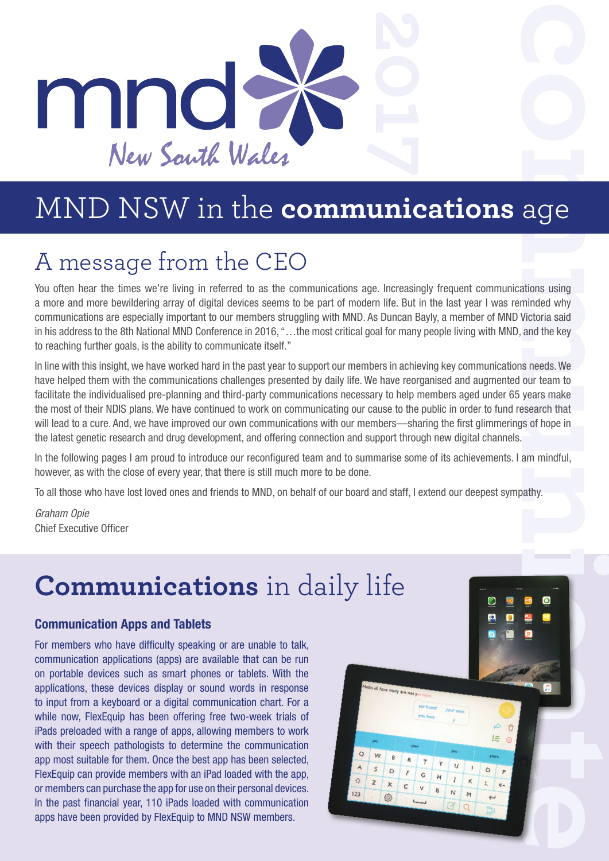

### A message from the CEO

You often hear the times we're living in referred to as the communications age. Increasingly frequent communications using a more and more bewildering array of digital devices seems to be part of modern life. But in the last year I was reminded why communications are especially important to our members struggling with MND. As Duncan Bayly, a member of MND Victoria said in his address to the 8th National MND Conference in 2016, "…the most critical goal for many people living with MND, and the key to reaching further goals, is the ability to communicate itself."

In line with this insight, we have worked hard in the past year to support our members in achieving key communications needs. We have helped them with the communications challenges presented by daily life. We have reorganised and augmented our team to facilitate the individualised pre-planning and third-party communications necessary to help members aged under 65 years make the most of their NDIS plans. We have continued to work on communicating our cause to the public in order to fund research that will lead to a cure. And, we have improved our own communications with our members—sharing the first glimmerings of hope in the latest genetic research and drug development, and offering connection and support through new digital channels.

In the following pages I am proud to introduce our reconfigured team and to summarise some of its achievements. I am mindful, however, as with the close of every year, that there is still much more to be done.

To all those who have lost loved ones and friends to MND, on behalf of our board and staff, I extend our deepest sympathy.

*Graham Opie* Chief Executive Officer

## **Communications** in daily life

#### **Communication Apps and Tablets**

For members who have difficulty speaking or are unable to talk, communication applications (apps) are available that can be run on portable devices such as smart phones or tablets. With the applications, these devices display or sound words in response to input from a keyboard or a digital communication chart. For a while now, FlexEquip has been offering free two-week trials of iPads preloaded with a range of apps, allowing members to work with their speech pathologists to determine the communication app most suitable for them. Once the best app has been selected, FlexEquip can provide members with an iPad loaded with the app, or members can purchase the app for use on their personal devices. In the past financial year, 110 iPads loaded with communication apps have been provided by FlexEquip to MND NSW members.

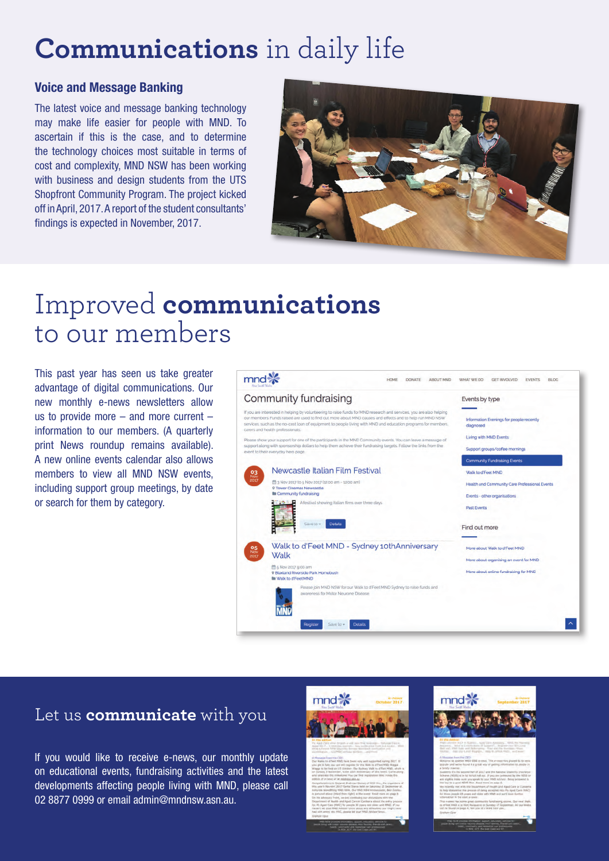### **Communications** in daily life

#### **Voice and Message Banking**

The latest voice and message banking technology may make life easier for people with MND. To ascertain if this is the case, and to determine the technology choices most suitable in terms of cost and complexity, MND NSW has been working with business and design students from the UTS Shopfront Community Program. The project kicked off in April, 2017. A report of the student consultants' findings is expected in November, 2017.



### Improved **communications** to our members

This past year has seen us take greater advantage of digital communications. Our new monthly e-news newsletters allow us to provide more – and more current – information to our members. (A quarterly print News roundup remains available). A new online events calendar also allows members to view all MND NSW events, including support group meetings, by date or search for them by category.



#### Let us **communicate** with you

If you would like to receive e-news, our monthly update on educational events, fundraising activities and the latest developments affecting people living with MND, please call 02 8877 0999 or email admin@mndnsw.asn.au.



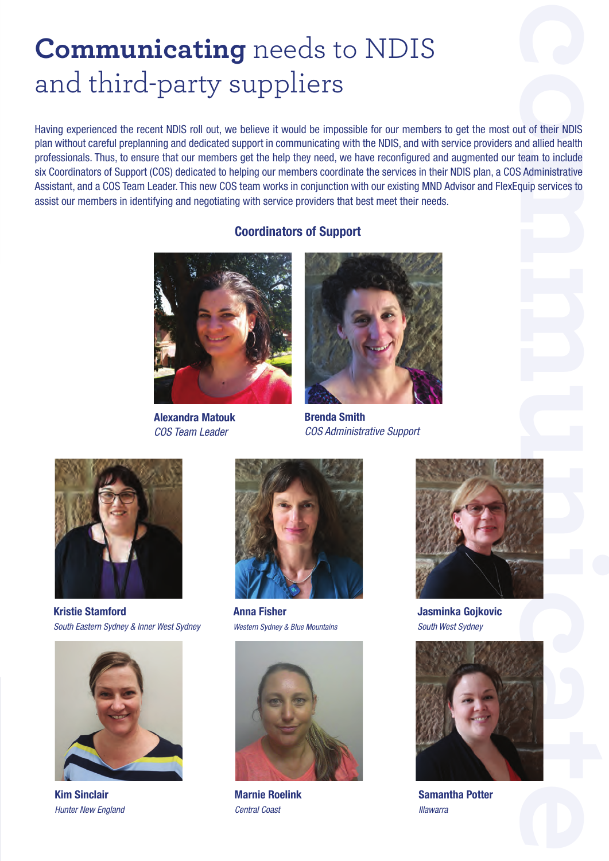### **Communicating** needs to NDIS and third-party suppliers

**communicate**<br> **communicate Communicate Communicate Communicate Communicate Communicate Communicate Communicative**<br> **communicate Communicative** Having experienced the recent NDIS roll out, we believe it would be impossible for our members to get the most out of their NDIS plan without careful preplanning and dedicated support in communicating with the NDIS, and with service providers and allied health professionals. Thus, to ensure that our members get the help they need, we have reconfigured and augmented our team to include six Coordinators of Support (COS) dedicated to helping our members coordinate the services in their NDIS plan, a COS Administrative Assistant, and a COS Team Leader. This new COS team works in conjunction with our existing MND Advisor and FlexEquip services to assist our members in identifying and negotiating with service providers that best meet their needs.

#### **Coordinators of Support**



**Alexandra Matouk** *COS Team Leader*



**Brenda Smith** *COS Administrative Support*



**Kristie Stamford** *South Eastern Sydney & Inner West Sydney*



**Kim Sinclair** *Hunter New England*



**Anna Fisher** *Western Sydney & Blue Mountains*



**Marnie Roelink** *Central Coast*



**Jasminka Gojkovic** *South West Sydney*



**Samantha Potter** *Illawarra*